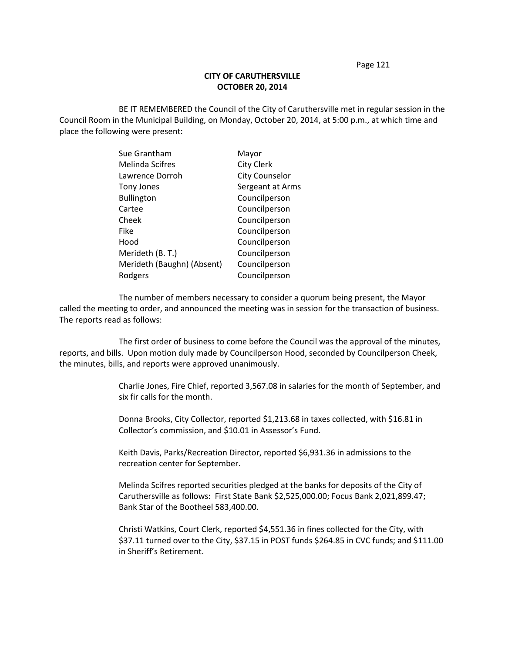## **CITY OF CARUTHERSVILLE OCTOBER 20, 2014**

BE IT REMEMBERED the Council of the City of Caruthersville met in regular session in the Council Room in the Municipal Building, on Monday, October 20, 2014, at 5:00 p.m., at which time and place the following were present:

| Mayor                 |
|-----------------------|
| <b>City Clerk</b>     |
| <b>City Counselor</b> |
| Sergeant at Arms      |
| Councilperson         |
| Councilperson         |
| Councilperson         |
| Councilperson         |
| Councilperson         |
| Councilperson         |
| Councilperson         |
| Councilperson         |
|                       |

The number of members necessary to consider a quorum being present, the Mayor called the meeting to order, and announced the meeting was in session for the transaction of business. The reports read as follows:

The first order of business to come before the Council was the approval of the minutes, reports, and bills. Upon motion duly made by Councilperson Hood, seconded by Councilperson Cheek, the minutes, bills, and reports were approved unanimously.

> Charlie Jones, Fire Chief, reported 3,567.08 in salaries for the month of September, and six fir calls for the month.

Donna Brooks, City Collector, reported \$1,213.68 in taxes collected, with \$16.81 in Collector's commission, and \$10.01 in Assessor's Fund.

Keith Davis, Parks/Recreation Director, reported \$6,931.36 in admissions to the recreation center for September.

Melinda Scifres reported securities pledged at the banks for deposits of the City of Caruthersville as follows: First State Bank \$2,525,000.00; Focus Bank 2,021,899.47; Bank Star of the Bootheel 583,400.00.

Christi Watkins, Court Clerk, reported \$4,551.36 in fines collected for the City, with \$37.11 turned over to the City, \$37.15 in POST funds \$264.85 in CVC funds; and \$111.00 in Sheriff's Retirement.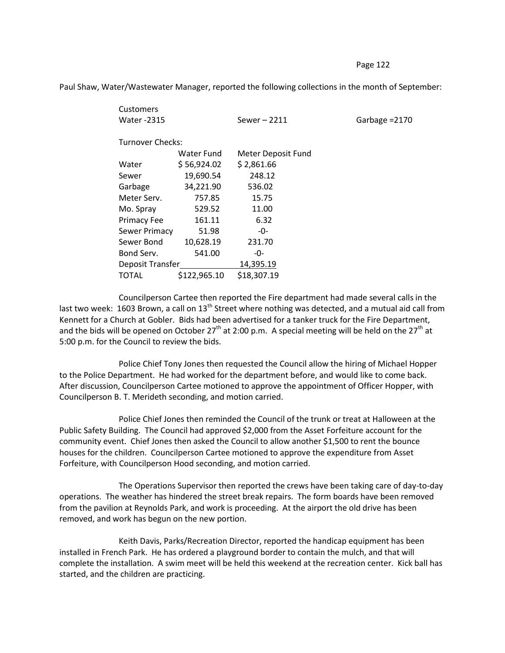Customers Water -2315 Sewer – 2211 Garbage =2170 Turnover Checks: Water Fund Meter Deposit Fund Water \$ 56,924.02 \$ 2,861.66 Sewer 19,690.54 248.12 Garbage 34,221.90 536.02 Meter Serv. 757.85 15.75 Mo. Spray 529.52 11.00 Primacy Fee 161.11 6.32 Sewer Primacy 51.98 -0-Sewer Bond 10,628.19 231.70 Bond Serv. 541.00 -0-Deposit Transfer 14,395.19 TOTAL \$122,965.10 \$18,307.19

Paul Shaw, Water/Wastewater Manager, reported the following collections in the month of September:

Councilperson Cartee then reported the Fire department had made several calls in the last two week: 1603 Brown, a call on 13<sup>th</sup> Street where nothing was detected, and a mutual aid call from Kennett for a Church at Gobler. Bids had been advertised for a tanker truck for the Fire Department, and the bids will be opened on October  $27<sup>th</sup>$  at 2:00 p.m. A special meeting will be held on the  $27<sup>th</sup>$  at 5:00 p.m. for the Council to review the bids.

Police Chief Tony Jones then requested the Council allow the hiring of Michael Hopper to the Police Department. He had worked for the department before, and would like to come back. After discussion, Councilperson Cartee motioned to approve the appointment of Officer Hopper, with Councilperson B. T. Merideth seconding, and motion carried.

Police Chief Jones then reminded the Council of the trunk or treat at Halloween at the Public Safety Building. The Council had approved \$2,000 from the Asset Forfeiture account for the community event. Chief Jones then asked the Council to allow another \$1,500 to rent the bounce houses for the children. Councilperson Cartee motioned to approve the expenditure from Asset Forfeiture, with Councilperson Hood seconding, and motion carried.

The Operations Supervisor then reported the crews have been taking care of day-to-day operations. The weather has hindered the street break repairs. The form boards have been removed from the pavilion at Reynolds Park, and work is proceeding. At the airport the old drive has been removed, and work has begun on the new portion.

Keith Davis, Parks/Recreation Director, reported the handicap equipment has been installed in French Park. He has ordered a playground border to contain the mulch, and that will complete the installation. A swim meet will be held this weekend at the recreation center. Kick ball has started, and the children are practicing.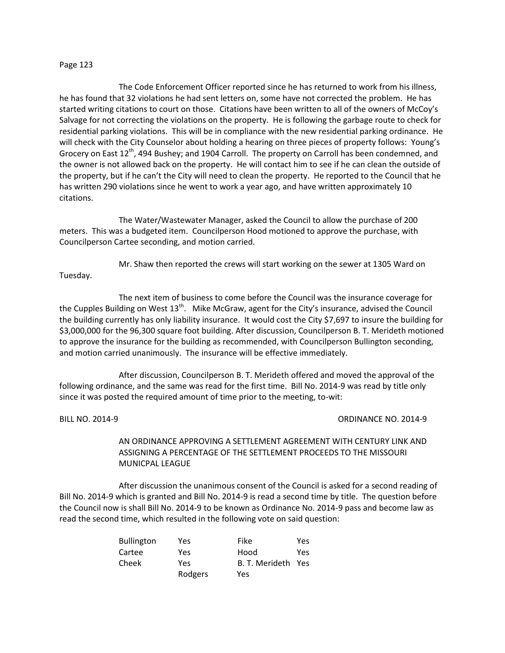The Code Enforcement Officer reported since he has returned to work from his illness, he has found that 32 violations he had sent letters on, some have not corrected the problem. He has started writing citations to court on those. Citations have been written to all of the owners of McCoy's Salvage for not correcting the violations on the property. He is following the garbage route to check for residential parking violations. This will be in compliance with the new residential parking ordinance. He will check with the City Counselor about holding a hearing on three pieces of property follows: Young's Grocery on East 12<sup>th</sup>, 494 Bushey; and 1904 Carroll. The property on Carroll has been condemned, and the owner is not allowed back on the property. He will contact him to see if he can clean the outside of the property, but if he can't the City will need to clean the property. He reported to the Council that he has written 290 violations since he went to work a year ago, and have written approximately 10 citations.

The Water/Wastewater Manager, asked the Council to allow the purchase of 200 meters. This was a budgeted item. Councilperson Hood motioned to approve the purchase, with Councilperson Cartee seconding, and motion carried.

Mr. Shaw then reported the crews will start working on the sewer at 1305 Ward on Tuesday.

The next item of business to come before the Council was the insurance coverage for the Cupples Building on West 13<sup>th</sup>. Mike McGraw, agent for the City's insurance, advised the Council the building currently has only liability insurance. It would cost the City \$7,697 to insure the building for \$3,000,000 for the 96,300 square foot building. After discussion, Councilperson B. T. Merideth motioned to approve the insurance for the building as recommended, with Councilperson Bullington seconding, and motion carried unanimously. The insurance will be effective immediately.

After discussion, Councilperson B. T. Merideth offered and moved the approval of the following ordinance, and the same was read for the first time. Bill No. 2014-9 was read by title only since it was posted the required amount of time prior to the meeting, to-wit:

## BILL NO. 2014-9 CRDINANCE NO. 2014-9

AN ORDINANCE APPROVING A SETTLEMENT AGREEMENT WITH CENTURY LINK AND ASSIGNING A PERCENTAGE OF THE SETTLEMENT PROCEEDS TO THE MISSOURI MUNICPAL LEAGUE

After discussion the unanimous consent of the Council is asked for a second reading of Bill No. 2014-9 which is granted and Bill No. 2014-9 is read a second time by title. The question before the Council now is shall Bill No. 2014-9 to be known as Ordinance No. 2014-9 pass and become law as read the second time, which resulted in the following vote on said question:

| <b>Bullington</b> | Yes     | Fike               | Yes |
|-------------------|---------|--------------------|-----|
| Cartee            | Yes.    | Hood               | Yes |
| Cheek             | Yes     | B. T. Merideth Yes |     |
|                   | Rodgers | Yes                |     |